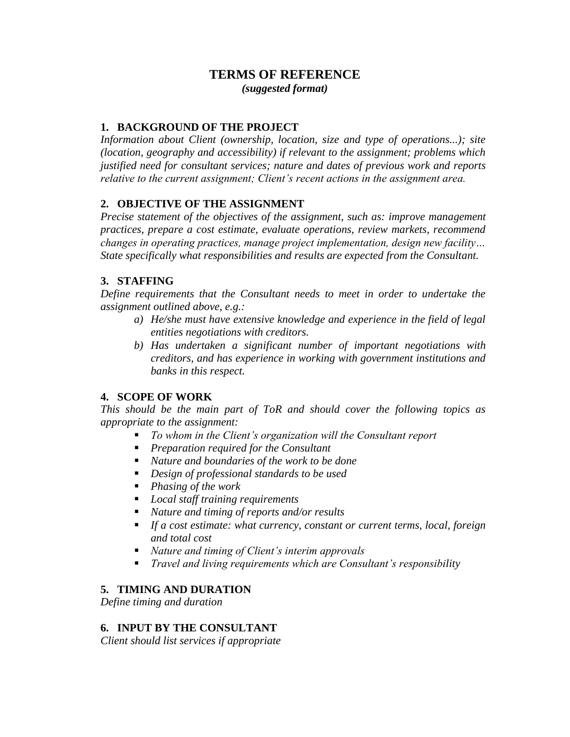# **TERMS OF REFERENCE** *(suggested format)*

#### **1. BACKGROUND OF THE PROJECT**

*Information about Client (ownership, location, size and type of operations...); site (location, geography and accessibility) if relevant to the assignment; problems which justified need for consultant services; nature and dates of previous work and reports relative to the current assignment; Client's recent actions in the assignment area.*

### **2. OBJECTIVE OF THE ASSIGNMENT**

*Precise statement of the objectives of the assignment, such as: improve management practices, prepare a cost estimate, evaluate operations, review markets, recommend changes in operating practices, manage project implementation, design new facility… State specifically what responsibilities and results are expected from the Consultant.*

#### **3. STAFFING**

*Define requirements that the Consultant needs to meet in order to undertake the assignment outlined above, e.g.:*

- *a) He/she must have extensive knowledge and experience in the field of legal entities negotiations with creditors.*
- *b) Has undertaken a significant number of important negotiations with creditors, and has experience in working with government institutions and banks in this respect.*

### **4. SCOPE OF WORK**

*This should be the main part of ToR and should cover the following topics as appropriate to the assignment:*

- *To whom in the Client's organization will the Consultant report*
- *Preparation required for the Consultant*
- *Nature and boundaries of the work to be done*
- *Design of professional standards to be used*
- *Phasing of the work*
- *Local staff training requirements*
- *Nature and timing of reports and/or results*
- *If a cost estimate: what currency, constant or current terms, local, foreign and total cost*
- *Nature and timing of Client's interim approvals*
- *Travel and living requirements which are Consultant's responsibility*

### **5. TIMING AND DURATION**

*Define timing and duration*

### **6. INPUT BY THE CONSULTANT**

*Client should list services if appropriate*